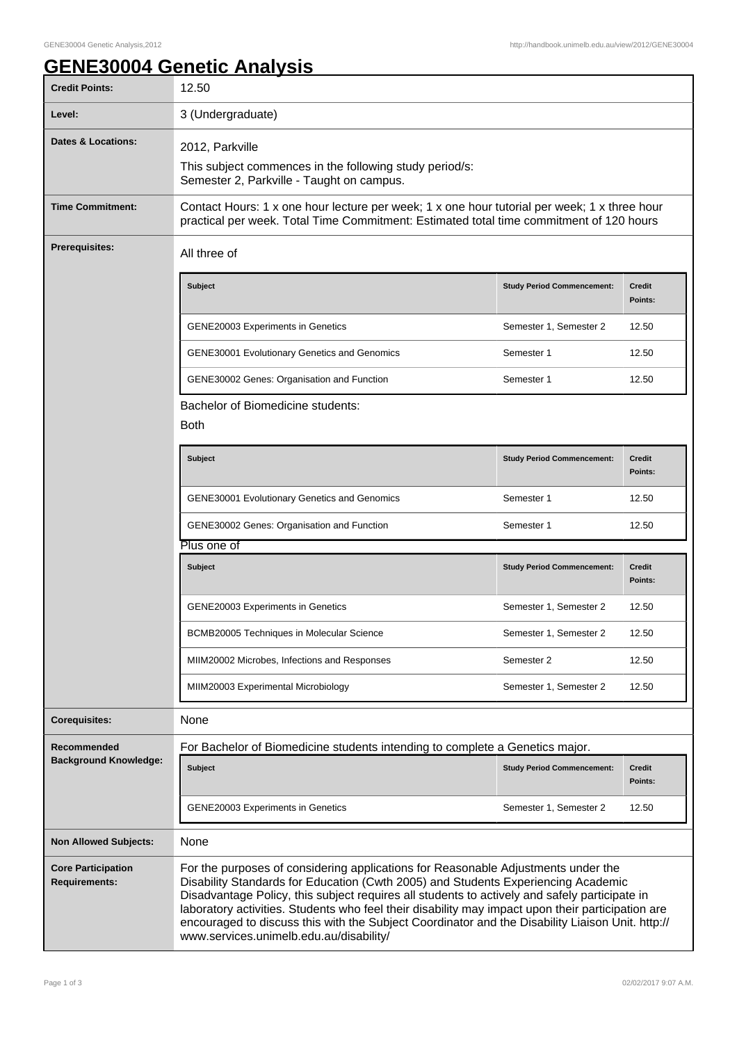## **GENE30004 Genetic Analysis**

| <b>Credit Points:</b>                             | 12.50                                                                                                                                                                                                                                                                                                                                                                                                                                                                                                                       |                                   |                          |  |
|---------------------------------------------------|-----------------------------------------------------------------------------------------------------------------------------------------------------------------------------------------------------------------------------------------------------------------------------------------------------------------------------------------------------------------------------------------------------------------------------------------------------------------------------------------------------------------------------|-----------------------------------|--------------------------|--|
| Level:                                            | 3 (Undergraduate)                                                                                                                                                                                                                                                                                                                                                                                                                                                                                                           |                                   |                          |  |
| Dates & Locations:                                | 2012, Parkville<br>This subject commences in the following study period/s:<br>Semester 2, Parkville - Taught on campus.                                                                                                                                                                                                                                                                                                                                                                                                     |                                   |                          |  |
| <b>Time Commitment:</b>                           | Contact Hours: 1 x one hour lecture per week; 1 x one hour tutorial per week; 1 x three hour<br>practical per week. Total Time Commitment: Estimated total time commitment of 120 hours                                                                                                                                                                                                                                                                                                                                     |                                   |                          |  |
| Prerequisites:                                    | All three of                                                                                                                                                                                                                                                                                                                                                                                                                                                                                                                |                                   |                          |  |
|                                                   | <b>Subject</b>                                                                                                                                                                                                                                                                                                                                                                                                                                                                                                              | <b>Study Period Commencement:</b> | <b>Credit</b><br>Points: |  |
|                                                   | GENE20003 Experiments in Genetics                                                                                                                                                                                                                                                                                                                                                                                                                                                                                           | Semester 1, Semester 2            | 12.50                    |  |
|                                                   | <b>GENE30001 Evolutionary Genetics and Genomics</b>                                                                                                                                                                                                                                                                                                                                                                                                                                                                         | Semester 1                        | 12.50                    |  |
|                                                   | GENE30002 Genes: Organisation and Function                                                                                                                                                                                                                                                                                                                                                                                                                                                                                  | Semester 1                        | 12.50                    |  |
|                                                   | Bachelor of Biomedicine students:<br><b>Both</b>                                                                                                                                                                                                                                                                                                                                                                                                                                                                            |                                   |                          |  |
|                                                   | Subject                                                                                                                                                                                                                                                                                                                                                                                                                                                                                                                     | <b>Study Period Commencement:</b> | <b>Credit</b><br>Points: |  |
|                                                   | <b>GENE30001 Evolutionary Genetics and Genomics</b>                                                                                                                                                                                                                                                                                                                                                                                                                                                                         | Semester 1                        | 12.50                    |  |
|                                                   | GENE30002 Genes: Organisation and Function                                                                                                                                                                                                                                                                                                                                                                                                                                                                                  | Semester 1                        | 12.50                    |  |
|                                                   | Plus one of                                                                                                                                                                                                                                                                                                                                                                                                                                                                                                                 |                                   |                          |  |
|                                                   | <b>Subject</b>                                                                                                                                                                                                                                                                                                                                                                                                                                                                                                              | <b>Study Period Commencement:</b> | <b>Credit</b><br>Points: |  |
|                                                   | <b>GENE20003 Experiments in Genetics</b>                                                                                                                                                                                                                                                                                                                                                                                                                                                                                    | Semester 1, Semester 2            | 12.50                    |  |
|                                                   | BCMB20005 Techniques in Molecular Science                                                                                                                                                                                                                                                                                                                                                                                                                                                                                   | Semester 1, Semester 2            | 12.50                    |  |
|                                                   | MIIM20002 Microbes, Infections and Responses                                                                                                                                                                                                                                                                                                                                                                                                                                                                                | Semester 2                        | 12.50                    |  |
|                                                   | MIIM20003 Experimental Microbiology                                                                                                                                                                                                                                                                                                                                                                                                                                                                                         | Semester 1, Semester 2            | 12.50                    |  |
| <b>Corequisites:</b>                              | None                                                                                                                                                                                                                                                                                                                                                                                                                                                                                                                        |                                   |                          |  |
| Recommended                                       | For Bachelor of Biomedicine students intending to complete a Genetics major.                                                                                                                                                                                                                                                                                                                                                                                                                                                |                                   |                          |  |
| <b>Background Knowledge:</b>                      | <b>Subject</b>                                                                                                                                                                                                                                                                                                                                                                                                                                                                                                              | <b>Study Period Commencement:</b> | <b>Credit</b><br>Points: |  |
|                                                   | <b>GENE20003 Experiments in Genetics</b>                                                                                                                                                                                                                                                                                                                                                                                                                                                                                    | Semester 1, Semester 2            | 12.50                    |  |
| <b>Non Allowed Subjects:</b>                      | None                                                                                                                                                                                                                                                                                                                                                                                                                                                                                                                        |                                   |                          |  |
| <b>Core Participation</b><br><b>Requirements:</b> | For the purposes of considering applications for Reasonable Adjustments under the<br>Disability Standards for Education (Cwth 2005) and Students Experiencing Academic<br>Disadvantage Policy, this subject requires all students to actively and safely participate in<br>laboratory activities. Students who feel their disability may impact upon their participation are<br>encouraged to discuss this with the Subject Coordinator and the Disability Liaison Unit. http://<br>www.services.unimelb.edu.au/disability/ |                                   |                          |  |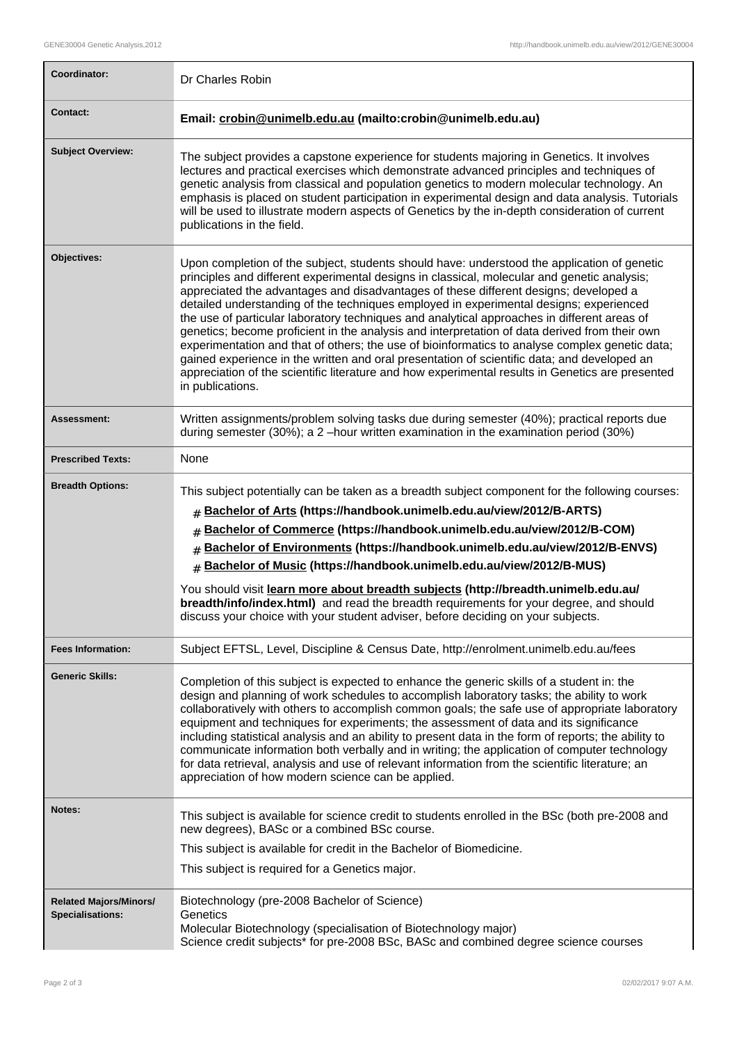| Coordinator:                                      | Dr Charles Robin                                                                                                                                                                                                                                                                                                                                                                                                                                                                                                                                                                                                                                                                                                                                                                                                                                                                                      |  |
|---------------------------------------------------|-------------------------------------------------------------------------------------------------------------------------------------------------------------------------------------------------------------------------------------------------------------------------------------------------------------------------------------------------------------------------------------------------------------------------------------------------------------------------------------------------------------------------------------------------------------------------------------------------------------------------------------------------------------------------------------------------------------------------------------------------------------------------------------------------------------------------------------------------------------------------------------------------------|--|
| <b>Contact:</b>                                   | Email: crobin@unimelb.edu.au (mailto:crobin@unimelb.edu.au)                                                                                                                                                                                                                                                                                                                                                                                                                                                                                                                                                                                                                                                                                                                                                                                                                                           |  |
| <b>Subject Overview:</b>                          | The subject provides a capstone experience for students majoring in Genetics. It involves<br>lectures and practical exercises which demonstrate advanced principles and techniques of<br>genetic analysis from classical and population genetics to modern molecular technology. An<br>emphasis is placed on student participation in experimental design and data analysis. Tutorials<br>will be used to illustrate modern aspects of Genetics by the in-depth consideration of current<br>publications in the field.                                                                                                                                                                                                                                                                                                                                                                                |  |
| Objectives:                                       | Upon completion of the subject, students should have: understood the application of genetic<br>principles and different experimental designs in classical, molecular and genetic analysis;<br>appreciated the advantages and disadvantages of these different designs; developed a<br>detailed understanding of the techniques employed in experimental designs; experienced<br>the use of particular laboratory techniques and analytical approaches in different areas of<br>genetics; become proficient in the analysis and interpretation of data derived from their own<br>experimentation and that of others; the use of bioinformatics to analyse complex genetic data;<br>gained experience in the written and oral presentation of scientific data; and developed an<br>appreciation of the scientific literature and how experimental results in Genetics are presented<br>in publications. |  |
| <b>Assessment:</b>                                | Written assignments/problem solving tasks due during semester (40%); practical reports due<br>during semester (30%); a 2 -hour written examination in the examination period (30%)                                                                                                                                                                                                                                                                                                                                                                                                                                                                                                                                                                                                                                                                                                                    |  |
| <b>Prescribed Texts:</b>                          | None                                                                                                                                                                                                                                                                                                                                                                                                                                                                                                                                                                                                                                                                                                                                                                                                                                                                                                  |  |
| <b>Breadth Options:</b>                           | This subject potentially can be taken as a breadth subject component for the following courses:<br># Bachelor of Arts (https://handbook.unimelb.edu.au/view/2012/B-ARTS)<br>Bachelor of Commerce (https://handbook.unimelb.edu.au/view/2012/B-COM)<br>#<br>Bachelor of Environments (https://handbook.unimelb.edu.au/view/2012/B-ENVS)<br>#<br>Bachelor of Music (https://handbook.unimelb.edu.au/view/2012/B-MUS)<br>$\#$<br>You should visit learn more about breadth subjects (http://breadth.unimelb.edu.au/<br>breadth/info/index.html) and read the breadth requirements for your degree, and should<br>discuss your choice with your student adviser, before deciding on your subjects.                                                                                                                                                                                                        |  |
| <b>Fees Information:</b>                          | Subject EFTSL, Level, Discipline & Census Date, http://enrolment.unimelb.edu.au/fees                                                                                                                                                                                                                                                                                                                                                                                                                                                                                                                                                                                                                                                                                                                                                                                                                  |  |
| <b>Generic Skills:</b>                            | Completion of this subject is expected to enhance the generic skills of a student in: the<br>design and planning of work schedules to accomplish laboratory tasks; the ability to work<br>collaboratively with others to accomplish common goals; the safe use of appropriate laboratory<br>equipment and techniques for experiments; the assessment of data and its significance<br>including statistical analysis and an ability to present data in the form of reports; the ability to<br>communicate information both verbally and in writing; the application of computer technology<br>for data retrieval, analysis and use of relevant information from the scientific literature; an<br>appreciation of how modern science can be applied.                                                                                                                                                    |  |
| Notes:                                            | This subject is available for science credit to students enrolled in the BSc (both pre-2008 and<br>new degrees), BASc or a combined BSc course.<br>This subject is available for credit in the Bachelor of Biomedicine.<br>This subject is required for a Genetics major.                                                                                                                                                                                                                                                                                                                                                                                                                                                                                                                                                                                                                             |  |
| <b>Related Majors/Minors/</b><br>Specialisations: | Biotechnology (pre-2008 Bachelor of Science)<br>Genetics<br>Molecular Biotechnology (specialisation of Biotechnology major)<br>Science credit subjects* for pre-2008 BSc, BASc and combined degree science courses                                                                                                                                                                                                                                                                                                                                                                                                                                                                                                                                                                                                                                                                                    |  |